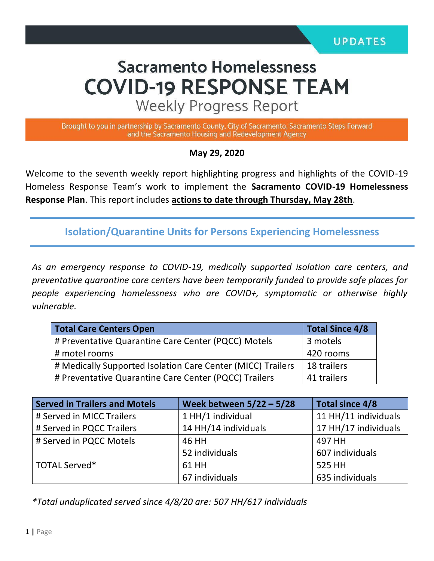# **Sacramento Homelessness COVID-19 RESPONSE TEAM**

**Weekly Progress Report** 

Brought to you in partnership by Sacramento County, City of Sacramento, Sacramento Steps Forward and the Sacramento Housing and Redevelopment Agency

**May 29, 2020**

Welcome to the seventh weekly report highlighting progress and highlights of the COVID-19 Homeless Response Team's work to implement the **Sacramento COVID-19 Homelessness Response Plan**. This report includes **actions to date through Thursday, May 28th**.

**Isolation/Quarantine Units for Persons Experiencing Homelessness**

*As an emergency response to COVID-19, medically supported isolation care centers, and preventative quarantine care centers have been temporarily funded to provide safe places for people experiencing homelessness who are COVID+, symptomatic or otherwise highly vulnerable.*

| <b>Total Care Centers Open</b>                              | <b>Total Since 4/8</b> |  |
|-------------------------------------------------------------|------------------------|--|
| # Preventative Quarantine Care Center (PQCC) Motels         | 3 motels               |  |
| # motel rooms                                               | 420 rooms              |  |
| # Medically Supported Isolation Care Center (MICC) Trailers | 18 trailers            |  |
| # Preventative Quarantine Care Center (PQCC) Trailers       | 41 trailers            |  |

| <b>Served in Trailers and Motels</b> | Week between $5/22 - 5/28$ | Total since 4/8      |  |
|--------------------------------------|----------------------------|----------------------|--|
| # Served in MICC Trailers            | 1 HH/1 individual          | 11 HH/11 individuals |  |
| # Served in PQCC Trailers            | 14 HH/14 individuals       | 17 HH/17 individuals |  |
| # Served in PQCC Motels              | 46 HH                      | 497 HH               |  |
|                                      | 52 individuals             | 607 individuals      |  |
| TOTAL Served*                        | 61 HH                      | 525 HH               |  |
|                                      | 67 individuals             | 635 individuals      |  |

*\*Total unduplicated served since 4/8/20 are: 507 HH/617 individuals*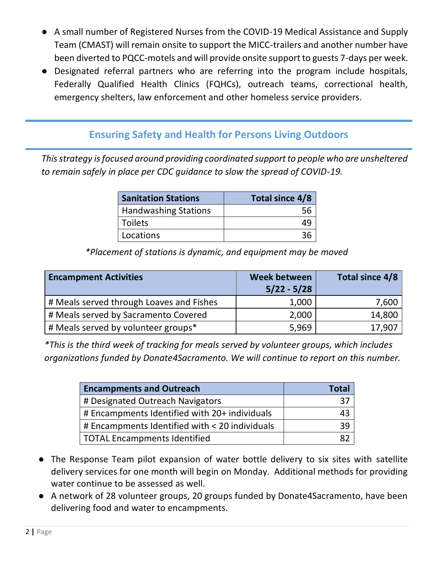- A small number of Registered Nurses from the COVID-19 Medical Assistance and Supply Team (CMAST) will remain onsite to support the MICC-trailers and another number have been diverted to PQCC-motels and will provide onsite support to guests 7-days per week.
- Designated referral partners who are referring into the program include hospitals, Federally Qualified Health Clinics (FQHCs), outreach teams, correctional health, emergency shelters, law enforcement and other homeless service providers.

### **Ensuring Safety and Health for Persons Living Outdoors**

*This strategy is focused around providing coordinated support to people who are unsheltered to remain safely in place per CDC guidance to slow the spread of COVID-19.*

| <b>Sanitation Stations</b>  | Total since 4/8 |  |  |
|-----------------------------|-----------------|--|--|
| <b>Handwashing Stations</b> | .56             |  |  |
| l Toilets                   | 4c              |  |  |
| Locations                   |                 |  |  |

*\*Placement of stations is dynamic, and equipment may be moved*

| <b>Encampment Activities</b>             | Week between<br>$5/22 - 5/28$ | Total since 4/8 |
|------------------------------------------|-------------------------------|-----------------|
| # Meals served through Loaves and Fishes | 1,000                         | 7,600           |
| # Meals served by Sacramento Covered     | 2,000                         | 14,800          |
| # Meals served by volunteer groups*      | 5,969                         | 17,907          |

*\*This is the third week of tracking for meals served by volunteer groups, which includes organizations funded by Donate4Sacramento. We will continue to report on this number.* 

| <b>Encampments and Outreach</b>                | Total |
|------------------------------------------------|-------|
| # Designated Outreach Navigators               |       |
| # Encampments Identified with 20+ individuals  |       |
| # Encampments Identified with < 20 individuals |       |
| TOTAL Encampments Identified                   |       |

- The Response Team pilot expansion of water bottle delivery to six sites with satellite delivery services for one month will begin on Monday. Additional methods for providing water continue to be assessed as well.
- A network of 28 volunteer groups, 20 groups funded by Donate4Sacramento, have been delivering food and water to encampments.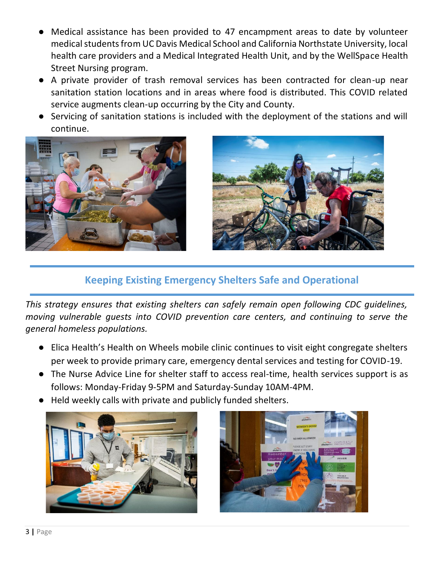- Medical assistance has been provided to 47 encampment areas to date by volunteer medical students from UC Davis Medical School and California Northstate University, local health care providers and a Medical Integrated Health Unit, and by the WellSpace Health Street Nursing program.
- A private provider of trash removal services has been contracted for clean-up near sanitation station locations and in areas where food is distributed. This COVID related service augments clean-up occurring by the City and County.
- Servicing of sanitation stations is included with the deployment of the stations and will continue.





## **Keeping Existing Emergency Shelters Safe and Operational**

*This strategy ensures that existing shelters can safely remain open following CDC guidelines, moving vulnerable guests into COVID prevention care centers, and continuing to serve the general homeless populations.* 

- Elica Health's Health on Wheels mobile clinic continues to visit eight congregate shelters per week to provide primary care, emergency dental services and testing for COVID-19.
- The Nurse Advice Line for shelter staff to access real-time, health services support is as follows: Monday-Friday 9-5PM and Saturday-Sunday 10AM-4PM.
- Held weekly calls with private and publicly funded shelters.



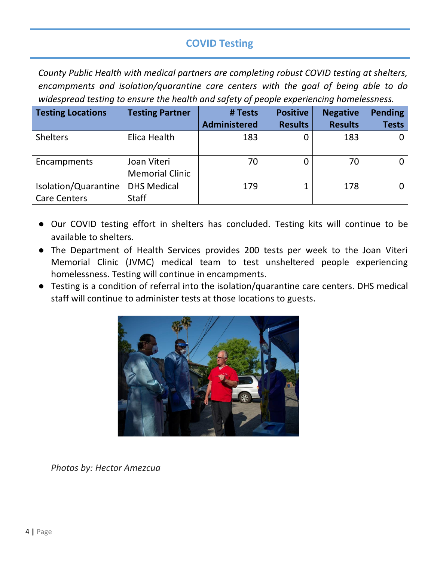# **COVID Testing**

*County Public Health with medical partners are completing robust COVID testing at shelters, encampments and isolation/quarantine care centers with the goal of being able to do widespread testing to ensure the health and safety of people experiencing homelessness.* 

| <b>Testing Locations</b> | <b>Testing Partner</b> | # Tests             | <b>Positive</b> | <b>Negative</b> | <b>Pending</b> |
|--------------------------|------------------------|---------------------|-----------------|-----------------|----------------|
|                          |                        | <b>Administered</b> | <b>Results</b>  | <b>Results</b>  | <b>Tests</b>   |
| <b>Shelters</b>          | Elica Health           | 183                 |                 | 183             |                |
| Encampments              | Joan Viteri            | 70                  |                 | 70              |                |
|                          | <b>Memorial Clinic</b> |                     |                 |                 |                |
| Isolation/Quarantine     | <b>DHS Medical</b>     | 179                 |                 | 178             |                |
| <b>Care Centers</b>      | <b>Staff</b>           |                     |                 |                 |                |

- Our COVID testing effort in shelters has concluded. Testing kits will continue to be available to shelters.
- The Department of Health Services provides 200 tests per week to the Joan Viteri Memorial Clinic (JVMC) medical team to test unsheltered people experiencing homelessness. Testing will continue in encampments.
- Testing is a condition of referral into the isolation/quarantine care centers. DHS medical staff will continue to administer tests at those locations to guests.



*Photos by: Hector Amezcua*